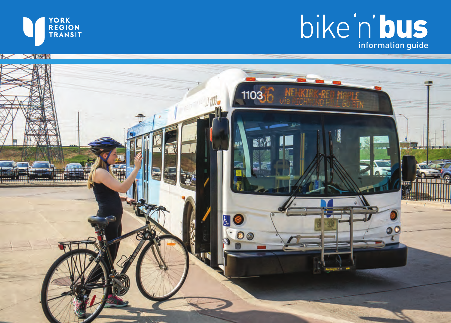

# bike n'ous

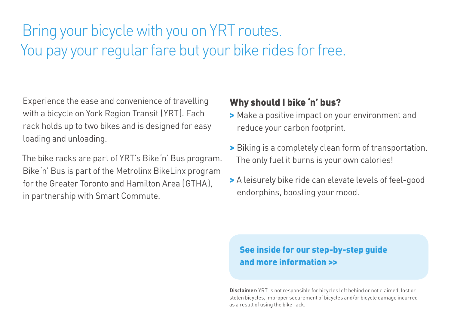## Bring your bicycle with you on YRT routes. You pay your regular fare but your bike rides for free.

Experience the ease and convenience of travelling with a bicycle on York Region Transit (YRT). Each rack holds up to two bikes and is designed for easy loading and unloading.

The bike racks are part of YRT's Bike'n' Bus program. Bike'n' Bus is part of the Metrolinx BikeLinx program for the Greater Toronto and Hamilton Area (GTHA), in partnership with Smart Commute.

#### Why should I bike 'n' bus?

- > Make a positive impact on your environment and reduce your carbon footprint.
- > Biking is a completely clean form of transportation. The only fuel it burns is your own calories!
- > A leisurely bike ride can elevate levels of feel-good endorphins, boosting your mood.

#### See inside for our step-by-step guide and more information >>

**Disclaimer:** YRT is not responsible for bicycles left behind or not claimed, lost or stolen bicycles, improper securement of bicycles and/or bicycle damage incurred as a result of using the bike rack.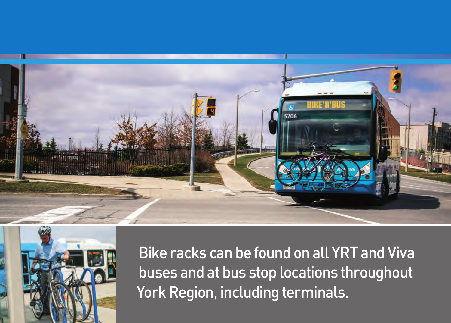



Bike racks can be found on all YRT and Viva buses and at bus stop locations throughout York Region, including terminals.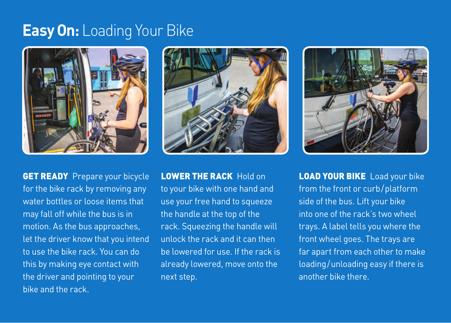## **Easy On:** Loading Your Bike



**GET READY** Prepare your bicycle for the bike rack by removing any water bottles or loose items that may fall off while the bus is in motion. As the bus approaches, let the driver know that you intend to use the bike rack. You can do this by making eye contact with the driver and pointing to your bike and the rack.



LOWER THE RACK Hold on to your bike with one hand and use your free hand to squeeze the handle at the top of the rack. Squeezing the handle will unlock the rack and it can then be lowered for use. If the rack is already lowered, move onto the next step.



**LOAD YOUR BIKE** Load your bike from the front or curb/platform side of the bus. Lift your bike into one of the rack's two wheel trays. A label tells you where the front wheel goes. The trays are far apart from each other to make loading/unloading easy if there is another bike there.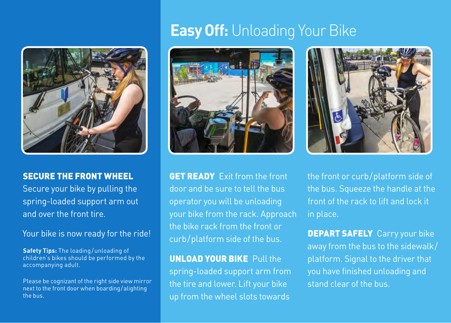

#### SECURE THE FRONT WHEEL

Secure your bike by pulling the spring-loaded support arm out and over the front tire.

Your bike is now ready for the ride!

**Safety Tips:** The loading/unloading of children's bikes should be performed by the accompanying adult.

Please be cognizant of the right side view mirror next to the front door when boarding/alighting the bus.

## **Easy Off:** Unloading Your Bike



**GET READY** Exit from the front door and be sure to tell the bus operator you will be unloading your bike from the rack. Approach the bike rack from the front or curb/platform side of the bus.

#### UNLOAD YOUR BIKE Pull the

spring-loaded support arm from the tire and lower. Lift your bike up from the wheel slots towards



the front or curb/platform side of the bus. Squeeze the handle at the front of the rack to lift and lock it in place.

**DEPART SAFELY** Carry your bike away from the bus to the sidewalk/ platform. Signal to the driver that you have finished unloading and stand clear of the bus.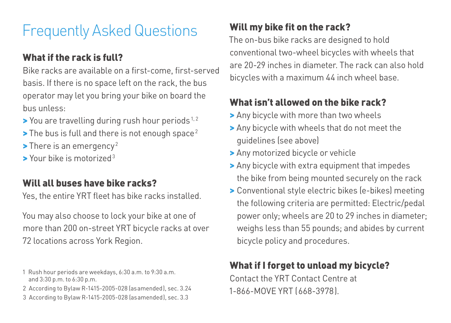# Frequently Asked Questions

## What if the rack is full?

Bike racks are available on a first-come, first-served basis. If there is no space left on the rack, the bus operator may let you bring your bike on board the bus unless:

- $\blacktriangleright$  You are travelling during rush hour periods<sup>1,2</sup>
- $\blacktriangleright$  The bus is full and there is not enough space<sup>2</sup>
- $\blacktriangleright$  There is an emergency<sup>2</sup>
- > Your bike is motorized<sup>3</sup>

#### Will all buses have bike racks?

Yes, the entire YRT fleet has bike racks installed.

You may also choose to lock your bike at one of more than 200 on-street YRT bicycle racks at over 72 locations across York Region.

- 1 Rush hour periods are weekdays, 6:30 a.m. to 9:30 a.m. and 3:30 p.m. to 6:30 p.m.
- 2 According to Bylaw R-1415-2005-028 (asamended), sec. 3.24
- 3 According to Bylaw R-1415-2005-028 (asamended), sec. 3.3

## Will my bike fit on the rack?

The on-bus bike racks are designed to hold conventional two-wheel bicycles with wheels that are 20-29 inches in diameter. The rack can also hold bicycles with a maximum 44 inch wheel base.

#### What isn't allowed on the bike rack?

- > Any bicycle with more than two wheels
- > Any bicycle with wheels that do not meet the guidelines (see above)
- > Any motorized bicycle or vehicle
- > Any bicycle with extra equipment that impedes the bike from being mounted securely on the rack
- > Conventional style electric bikes (e-bikes) meeting the following criteria are permitted: Electric/pedal power only; wheels are 20 to 29 inches in diameter; weighs less than 55 pounds; and abides by current bicycle policy and procedures.

## What if I forget to unload my bicycle?

Contact the YRT Contact Centre at 1-866-MOVE YRT (668-3978).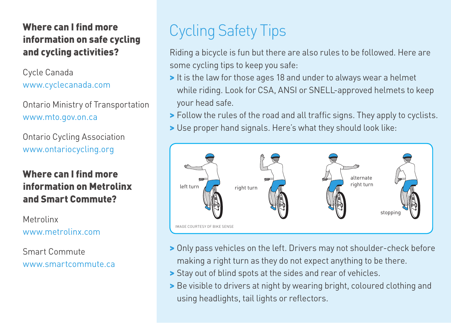#### Where can I find more information on safe cycling and cycling activities?

Cycle Canada www.cyclecanada.com

Ontario Ministry of Transportation www.mto.gov.on.ca

Ontario Cycling Association www.ontariocycling.org

#### Where can I find more information on Metrolinx and Smart Commute?

Metrolinx www.metrolinx.com

Smart Commute www.smartcommute.ca

# Cycling Safety Tips

Riding a bicycle is fun but there are also rules to be followed. Here are some cycling tips to keep you safe:

- > It is the law for those ages 18 and under to always wear a helmet while riding. Look for CSA, ANSI or SNELL-approved helmets to keep your head safe.
- > Follow the rules of the road and all traffic signs. They apply to cyclists.
- > Use proper hand signals. Here's what they should look like:



- > Only pass vehicles on the left. Drivers may not shoulder-check before making a right turn as they do not expect anything to be there.
- > Stay out of blind spots at the sides and rear of vehicles.
- > Be visible to drivers at night by wearing bright, coloured clothing and using headlights, tail lights or reflectors.